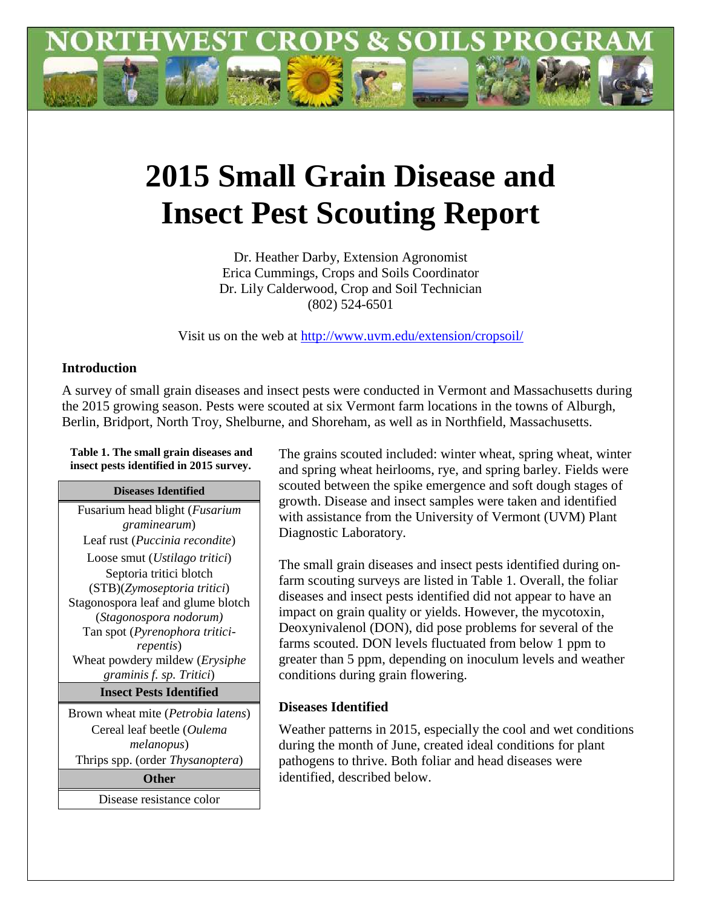

# **2015 Small Grain Disease and Insect Pest Scouting Report**

Dr. Heather Darby, Extension Agronomist Erica Cummings, Crops and Soils Coordinator Dr. Lily Calderwood, Crop and Soil Technician (802) 524-6501

Visit us on the web at<http://www.uvm.edu/extension/cropsoil/>

#### **Introduction**

A survey of small grain diseases and insect pests were conducted in Vermont and Massachusetts during the 2015 growing season. Pests were scouted at six Vermont farm locations in the towns of Alburgh, Berlin, Bridport, North Troy, Shelburne, and Shoreham, as well as in Northfield, Massachusetts.

**Table 1. The small grain diseases and insect pests identified in 2015 survey.**

#### **Diseases Identified**

Fusarium head blight (*Fusarium graminearum*) Leaf rust (*Puccinia recondite*) Loose smut (*Ustilago tritici*) Septoria tritici blotch (STB)(*Zymoseptoria tritici*) Stagonospora leaf and glume blotch (*Stagonospora nodorum)* Tan spot (*Pyrenophora triticirepentis*) Wheat powdery mildew (*Erysiphe graminis f. sp. Tritici*) **Insect Pests Identified**

Brown wheat mite (*Petrobia latens*) Cereal leaf beetle (*Oulema melanopus*) Thrips spp. (order *Thysanoptera*) **Other**

Disease resistance color

The grains scouted included: winter wheat, spring wheat, winter and spring wheat heirlooms, rye, and spring barley. Fields were scouted between the spike emergence and soft dough stages of growth. Disease and insect samples were taken and identified with assistance from the University of Vermont (UVM) Plant Diagnostic Laboratory.

The small grain diseases and insect pests identified during onfarm scouting surveys are listed in Table 1. Overall, the foliar diseases and insect pests identified did not appear to have an impact on grain quality or yields. However, the mycotoxin, Deoxynivalenol (DON), did pose problems for several of the farms scouted. DON levels fluctuated from below 1 ppm to greater than 5 ppm, depending on inoculum levels and weather conditions during grain flowering.

# **Diseases Identified**

Weather patterns in 2015, especially the cool and wet conditions during the month of June, created ideal conditions for plant pathogens to thrive. Both foliar and head diseases were identified, described below.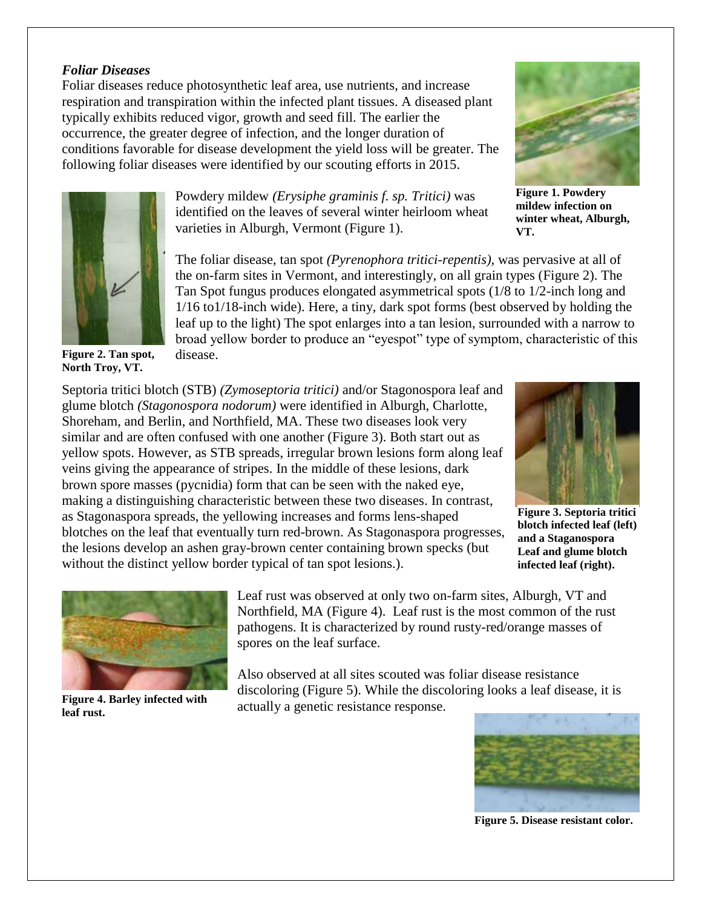#### *Foliar Diseases*

Foliar diseases reduce photosynthetic leaf area, use nutrients, and increase respiration and transpiration within the infected plant tissues. A diseased plant typically exhibits reduced vigor, growth and seed fill. The earlier the occurrence, the greater degree of infection, and the longer duration of conditions favorable for disease development the yield loss will be greater. The following foliar diseases were identified by our scouting efforts in 2015.



**Figure 2. Tan spot, North Troy, VT.**

Powdery mildew *(Erysiphe graminis f. sp. Tritici)* was identified on the leaves of several winter heirloom wheat varieties in Alburgh, Vermont (Figure 1).

The foliar disease, tan spot *(Pyrenophora tritici-repentis),* was pervasive at all of the on-farm sites in Vermont, and interestingly, on all grain types (Figure 2). The Tan Spot fungus produces elongated asymmetrical spots (1/8 to 1/2-inch long and 1/16 to1/18-inch wide). Here, a tiny, dark spot forms (best observed by holding the leaf up to the light) The spot enlarges into a tan lesion, surrounded with a narrow to broad yellow border to produce an "eyespot" type of symptom, characteristic of this disease.

Septoria tritici blotch (STB) *(Zymoseptoria tritici)* and/or Stagonospora leaf and glume blotch *(Stagonospora nodorum)* were identified in Alburgh, Charlotte, Shoreham, and Berlin, and Northfield, MA. These two diseases look very similar and are often confused with one another (Figure 3). Both start out as yellow spots. However, as STB spreads, irregular brown lesions form along leaf veins giving the appearance of stripes. In the middle of these lesions, dark brown spore masses (pycnidia) form that can be seen with the naked eye, making a distinguishing characteristic between these two diseases. In contrast, as Stagonaspora spreads, the yellowing increases and forms lens-shaped blotches on the leaf that eventually turn red-brown. As Stagonaspora progresses, the lesions develop an ashen gray-brown center containing brown specks (but without the distinct yellow border typical of tan spot lesions.).



**Figure 3. Septoria tritici blotch infected leaf (left) and a Staganospora Leaf and glume blotch infected leaf (right).**



**Figure 4. Barley infected with leaf rust.**

Leaf rust was observed at only two on-farm sites, Alburgh, VT and Northfield, MA (Figure 4). Leaf rust is the most common of the rust pathogens. It is characterized by round rusty-red/orange masses of spores on the leaf surface.

Also observed at all sites scouted was foliar disease resistance discoloring (Figure 5). While the discoloring looks a leaf disease, it is actually a genetic resistance response.



**Figure 5. Disease resistant color.**



**Figure 1. Powdery mildew infection on winter wheat, Alburgh, VT.**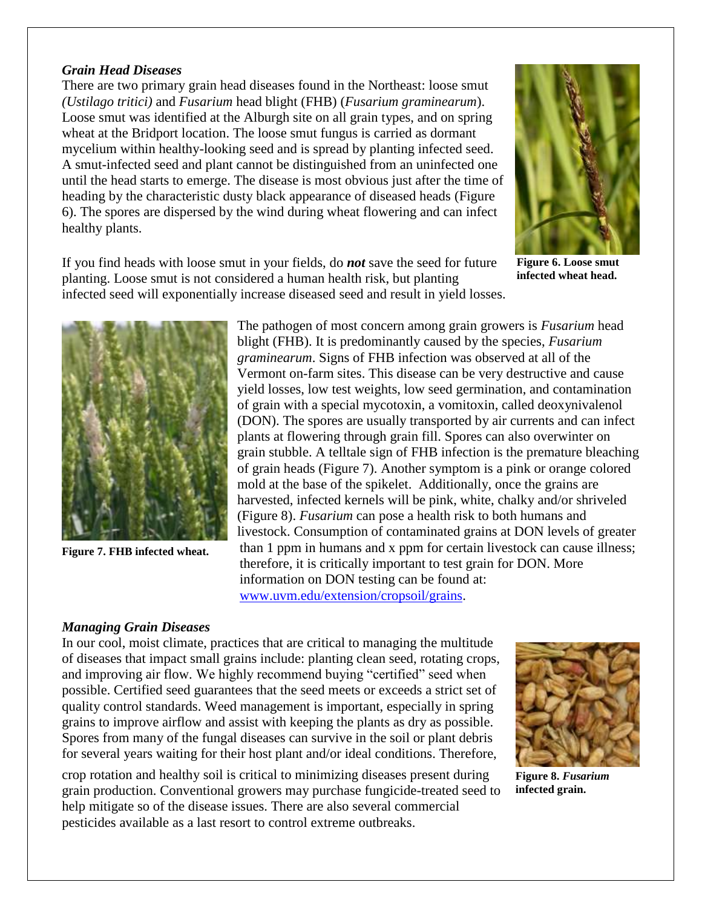### *Grain Head Diseases*

There are two primary grain head diseases found in the Northeast: loose smut *(Ustilago tritici)* and *Fusarium* head blight (FHB) (*Fusarium graminearum*). Loose smut was identified at the Alburgh site on all grain types, and on spring wheat at the Bridport location. The loose smut fungus is carried as dormant mycelium within healthy-looking seed and is spread by planting infected seed. A smut-infected seed and plant cannot be distinguished from an uninfected one until the head starts to emerge. The disease is most obvious just after the time of heading by the characteristic dusty black appearance of diseased heads (Figure 6). The spores are dispersed by the wind during wheat flowering and can infect healthy plants.



**Figure 6. Loose smut infected wheat head.**

If you find heads with loose smut in your fields, do *not* save the seed for future planting. Loose smut is not considered a human health risk, but planting infected seed will exponentially increase diseased seed and result in yield losses.



**Figure 7. FHB infected wheat.**

The pathogen of most concern among grain growers is *Fusarium* head blight (FHB). It is predominantly caused by the species, *Fusarium graminearum*. Signs of FHB infection was observed at all of the Vermont on-farm sites. This disease can be very destructive and cause yield losses, low test weights, low seed germination, and contamination of grain with a special mycotoxin, a vomitoxin, called deoxynivalenol (DON). The spores are usually transported by air currents and can infect plants at flowering through grain fill. Spores can also overwinter on grain stubble. A telltale sign of FHB infection is the premature bleaching of grain heads (Figure 7). Another symptom is a pink or orange colored mold at the base of the spikelet. Additionally, once the grains are harvested, infected kernels will be pink, white, chalky and/or shriveled (Figure 8). *Fusarium* can pose a health risk to both humans and livestock. Consumption of contaminated grains at DON levels of greater than 1 ppm in humans and x ppm for certain livestock can cause illness; therefore, it is critically important to test grain for DON. More information on DON testing can be found at: [www.uvm.edu/extension/cropsoil/grains.](http://www.uvm.edu/extension/cropsoil/grains)

# *Managing Grain Diseases*

In our cool, moist climate, practices that are critical to managing the multitude of diseases that impact small grains include: planting clean seed, rotating crops, and improving air flow. We highly recommend buying "certified" seed when possible. Certified seed guarantees that the seed meets or exceeds a strict set of quality control standards. Weed management is important, especially in spring grains to improve airflow and assist with keeping the plants as dry as possible. Spores from many of the fungal diseases can survive in the soil or plant debris for several years waiting for their host plant and/or ideal conditions. Therefore,

crop rotation and healthy soil is critical to minimizing diseases present during grain production. Conventional growers may purchase fungicide-treated seed to help mitigate so of the disease issues. There are also several commercial pesticides available as a last resort to control extreme outbreaks.



**Figure 8.** *Fusarium*  **infected grain.**